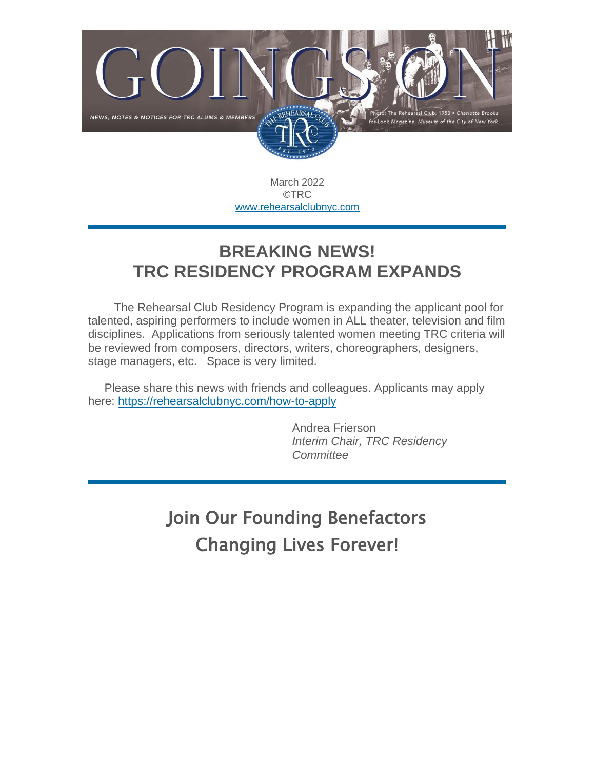

March 2022 ©TRC [www.rehearsalclubnyc.com](http://em.networkforgood.com/ls/click?upn=d9K6ASy0zzX96vUyeY2s4NbX7GC-2B-2BQrvMkId8Tobla-2FvkTqIGb6BP464szxIK4hEaqky_mVgFLr7YN-2FKDVqGhILtkQY9fXF2OyRftV4uiTXV7NCFmx397hqVIaghoWdDojcNgZYXp1szAYOYDjcYK01Pd9nH234-2FA0IRYKOapI7Ds3zS8CjQA-2Bx6c-2BXZ3Cum2epxGt8rNDZUx4bERrgUKftnMToC16JWyeddgMS0Id-2B5QwEsxdkEfQfxh5JrltQWcHlpOFxZgsFWzLy4-2F-2F8B-2FPUrPltisF-2B-2B0OOBpS2qPh6ySjiPBvxoMZqbgr7N3XyQywbGQoIOINviKQphtJK-2ByO4IzDvYN3IL0fXKE-2ByH-2BL7-2BgF84T4H3mJcCHQ4q0LdjBuMJLXasRWuIWsLJUiC1ftJreeW9Om9ZeLVfUje58NBvvrw8-3D)

### **BREAKING NEWS! TRC RESIDENCY PROGRAM EXPANDS**

 The Rehearsal Club Residency Program is expanding the applicant pool for talented, aspiring performers to include women in ALL theater, television and film disciplines. Applications from seriously talented women meeting TRC criteria will be reviewed from composers, directors, writers, choreographers, designers, stage managers, etc. Space is very limited.

Please share this news with friends and colleagues. Applicants may apply here: [https://rehearsalclubnyc.com/how-to-apply](http://em.networkforgood.com/ls/click?upn=VAGGw4zHikj3d-2F5242H3ZsYdzuImz4YAJ1GxWONp2TQmyUKzqS6XX1-2F8HucpOqq6hUtqL-2B35WxyoPS99UuGWzg-3D-3D622b_mVgFLr7YN-2FKDVqGhILtkQY9fXF2OyRftV4uiTXV7NCFmx397hqVIaghoWdDojcNgZYXp1szAYOYDjcYK01Pd9nH234-2FA0IRYKOapI7Ds3zS8CjQA-2Bx6c-2BXZ3Cum2epxGt8rNDZUx4bERrgUKftnMToC16JWyeddgMS0Id-2B5QwEt-2BNS-2FR7LFpz4cOz5ZKe2DUMyKR14t7MgbqikUqjV6MqqEDyXlbA6BONbXcwSpCkFPttt-2FYbLtrTaJuBtEj-2F3fGHGqn7O-2BjL-2B3WGL2OON3s5C8w7o-2F6iOzi44PccMHriPzcYgFpgSgpUv-2FmlGFECERgqJDkq8i0hz8Z7wYhPQTnDKGU-2FNYd0XEvuk7juN4YWKg-3D)

> Andrea Frierson *Interim Chair, TRC Residency Committee*

Join Our Founding Benefactors Changing Lives Forever!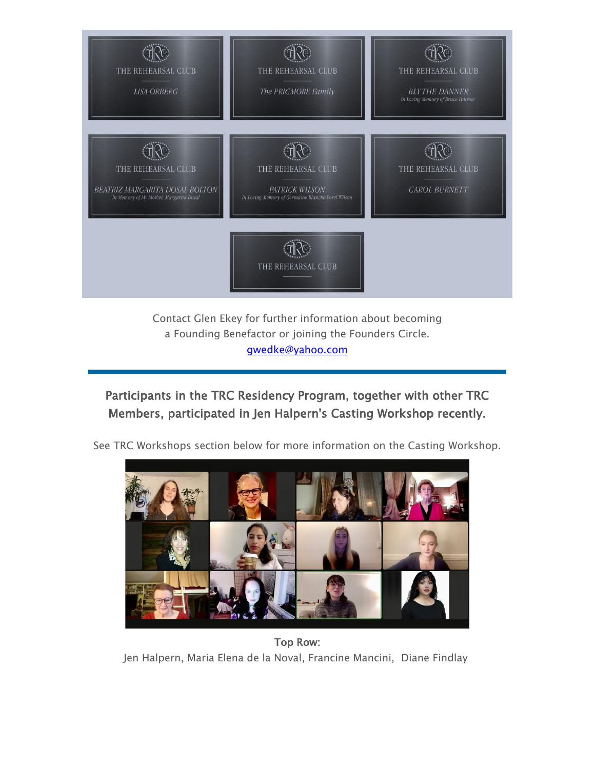

Contact Glen Ekey for further information about becoming a Founding Benefactor or joining the Founders Circle. [gwedke@yahoo.com](mailto:gwedke@yahoo.com)

#### Participants in the TRC Residency Program, together with other TRC Members, participated in Jen Halpern's Casting Workshop recently.



See TRC Workshops section below for more information on the Casting Workshop.

Top Row: Jen Halpern, Maria Elena de la Noval, Francine Mancini, Diane Findlay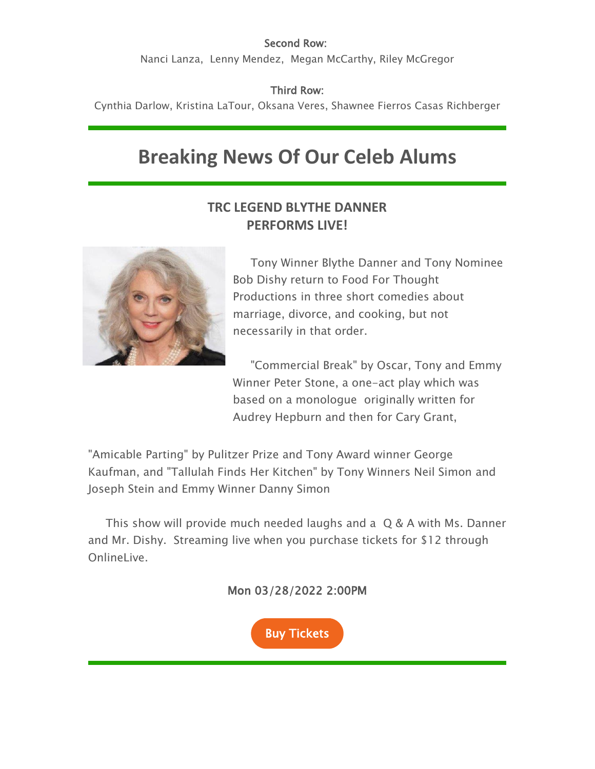#### Second Row:

Nanci Lanza, Lenny Mendez, Megan McCarthy, Riley McGregor

Third Row:

Cynthia Darlow, Kristina LaTour, Oksana Veres, Shawnee Fierros Casas Richberger

# **Breaking News Of Our Celeb Alums**

#### **TRC LEGEND BLYTHE DANNER PERFORMS LIVE!**



Tony Winner Blythe Danner and Tony Nominee Bob Dishy return to Food For Thought Productions in three short comedies about marriage, divorce, and cooking, but not necessarily in that order.

"Commercial Break" by Oscar, Tony and Emmy Winner Peter Stone, a one-act play which was based on a monologue originally written for Audrey Hepburn and then for Cary Grant,

"Amicable Parting" by Pulitzer Prize and Tony Award winner George Kaufman, and "Tallulah Finds Her Kitchen" by Tony Winners Neil Simon and Joseph Stein and Emmy Winner Danny Simon

This show will provide much needed laughs and a Q & A with Ms. Danner and Mr. Dishy. Streaming live when you purchase tickets for \$12 through OnlineLive.

Mon 03/28/2022 2:00PM

[Buy Tickets](https://e.wordfly.com/click?sid=MTE5Ml8zMTQzOV8xMDI5NDlfNzEyNA&l=6575a535-f298-ec11-a826-0050569d9d1d&promo=5571)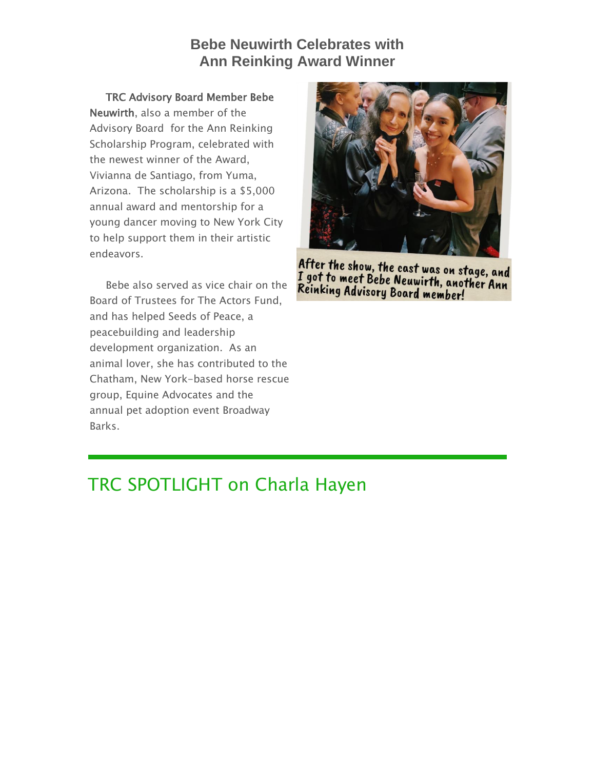#### **Bebe Neuwirth Celebrates with Ann Reinking Award Winner**

TRC Advisory Board Member Bebe Neuwirth, also a member of the Advisory Board for the Ann Reinking Scholarship Program, celebrated with the newest winner of the Award, Vivianna de Santiago, from Yuma, Arizona. The scholarship is a \$5,000 annual award and mentorship for a young dancer moving to New York City to help support them in their artistic endeavors.

Bebe also served as vice chair on the Board of Trustees for The Actors Fund, and has helped Seeds of Peace, a peacebuilding and leadership development organization. As an animal lover, she has contributed to the Chatham, New York-based horse rescue group, Equine Advocates and the annual pet adoption event Broadway Barks.



After the show, the cast was on stage, and I got to meet Bebe Neuwirth, another Ann<br>Reinking Advisory Readvirth, another Ann Reinking Advisory Board member!

### TRC SPOTLIGHT on Charla Hayen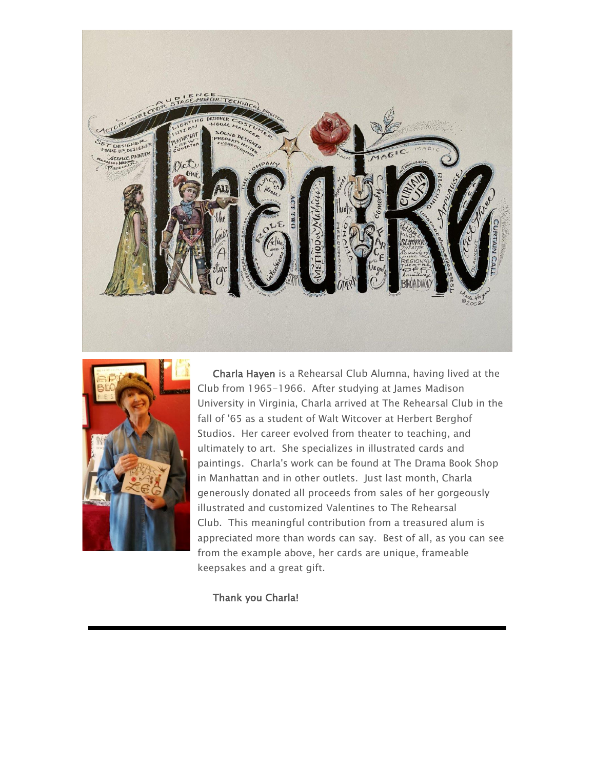



Charla Hayen is a Rehearsal Club Alumna, having lived at the Club from 1965-1966. After studying at James Madison University in Virginia, Charla arrived at The Rehearsal Club in the fall of '65 as a student of Walt Witcover at Herbert Berghof Studios. Her career evolved from theater to teaching, and ultimately to art. She specializes in illustrated cards and paintings. Charla's work can be found at The Drama Book Shop in Manhattan and in other outlets. Just last month, Charla generously donated all proceeds from sales of her gorgeously illustrated and customized Valentines to The Rehearsal Club. This meaningful contribution from a treasured alum is appreciated more than words can say. Best of all, as you can see from the example above, her cards are unique, frameable keepsakes and a great gift.

Thank you Charla!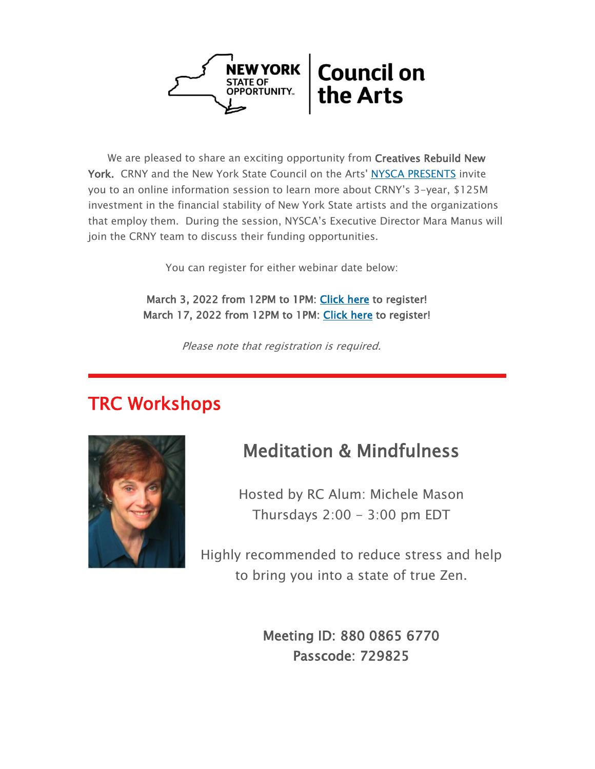

We are pleased to share an exciting opportunity from Creatives Rebuild New York. CRNY and the New York State Council on the Arts' [NYSCA PRESENTS](http://em.networkforgood.com/ls/click?upn=VAGGw4zHikj3d-2F5242H3ZiyzxQdftGCaa5ttSSHZCB-2BlBxXTxPMj4z-2BzllJ9Abn4pohHWPfGQcuLhax9wgBghxTeAgXam2JPldREaUsO74yEhIpbX9B3i5ILFXjDu-2F2Q04w6DPrt9lhaRzPfeR5vzg-3D-3D6EuN_mVgFLr7YN-2FKDVqGhILtkQY9fXF2OyRftV4uiTXV7NCFmx397hqVIaghoWdDojcNgZYXp1szAYOYDjcYK01Pd9nH234-2FA0IRYKOapI7Ds3zS8CjQA-2Bx6c-2BXZ3Cum2epxGt8rNDZUx4bERrgUKftnMToC16JWyeddgMS0Id-2B5QwEu0DGeOLzURwTVov8gi2yy75pY1eWj5f1NXUNNvMGwnPJWmTjIL4kdJnaEeFDy4AbYI3kL90Gb8OTYXq2CGwbZO-2BllMP0q48CkWGFivau40W0VC6IBFgs-2FYIvgPxJ1kUMeUY6pf7XsAQo9welZQB-2FVs2Y-2FG7X-2BGMZa-2B9ro-2BwRkmYIoCOQxvzBM5F1SiQm1oA4g-3D) invite you to an online information session to learn more about CRNY's 3-year, \$125M investment in the financial stability of New York State artists and the organizations that employ them. During the session, NYSCA's Executive Director Mara Manus will join the CRNY team to discuss their funding opportunities.

You can register for either webinar date below:

 March 3, 2022 from 12PM to 1PM: [Click here](http://em.networkforgood.com/ls/click?upn=VAGGw4zHikj3d-2F5242H3ZiyzxQdftGCaa5ttSSHZCB-2BlBxXTxPMj4z-2BzllJ9Abn4pohHWPfGQcuLhax9wgBghxTeAgXam2JPldREaUsO74xHrs7uT-2Fd0wP5-2Br6QtN6IJDbvwmYw6JrqPYfwnSnasAw-3D-3DuOql_mVgFLr7YN-2FKDVqGhILtkQY9fXF2OyRftV4uiTXV7NCFmx397hqVIaghoWdDojcNgZYXp1szAYOYDjcYK01Pd9nH234-2FA0IRYKOapI7Ds3zS8CjQA-2Bx6c-2BXZ3Cum2epxGt8rNDZUx4bERrgUKftnMToC16JWyeddgMS0Id-2B5QwEun7D2pu3HiwwI3B4A-2BWKgdbrQXE23Qt1ut2cn-2FhSQvXbBI67evmK0AJUFKQh28Bm5LZ8jelD5yxR7Nzd-2Fd1yDvSteol6NKwrkJ1I0Xz9qTtdP-2Behl7pPuEZXrB8u-2FO4asS7bP8cIAl9L6Mv7OiAp0gpZXCOtnJISEC18rM3VP1rhagLXJGWfEfudi-2F-2FUON1ms-3D) to register! March 17, 2022 from 12PM to 1PM: [Click here](http://em.networkforgood.com/ls/click?upn=VAGGw4zHikj3d-2F5242H3ZiyzxQdftGCaa5ttSSHZCB-2BlBxXTxPMj4z-2BzllJ9Abn4pohHWPfGQcuLhax9wgBghxTeAgXam2JPldREaUsO74xxLYz0fZBzrUAKvvjCYIqHyDsUDG9rhR2COTvSqM48Pw-3D-3DISqE_mVgFLr7YN-2FKDVqGhILtkQY9fXF2OyRftV4uiTXV7NCFmx397hqVIaghoWdDojcNgZYXp1szAYOYDjcYK01Pd9nH234-2FA0IRYKOapI7Ds3zS8CjQA-2Bx6c-2BXZ3Cum2epxGt8rNDZUx4bERrgUKftnMToC16JWyeddgMS0Id-2B5QwEtzMoZ-2Bmko2cfBPzyOnXNIc6jMp3xOXNhXINhFVPQTEEnB-2BjNB0YNtp7sYiM1HZT-2BnQnenhN70fWq9O1Si-2BU4D96SgrQ5Fs6MP-2FJLP3w4A34VbN4-2BCpA1KdY-2FI-2BvenYM11xvdZHs6qQU-2FxKmnaGaXV1MvkCGSWSaglI1KCbiC2G97V7LgIDqoQa5r7oF9JVJhU-3D) to register!

Please note that registration is required.

### TRC Workshops



### Meditation & Mindfulness

Hosted by RC Alum: Michele Mason Thursdays  $2:00 - 3:00$  pm EDT

Highly recommended to reduce stress and help to bring you into a state of true Zen.

> Meeting ID: 880 0865 6770 Passcode: 729825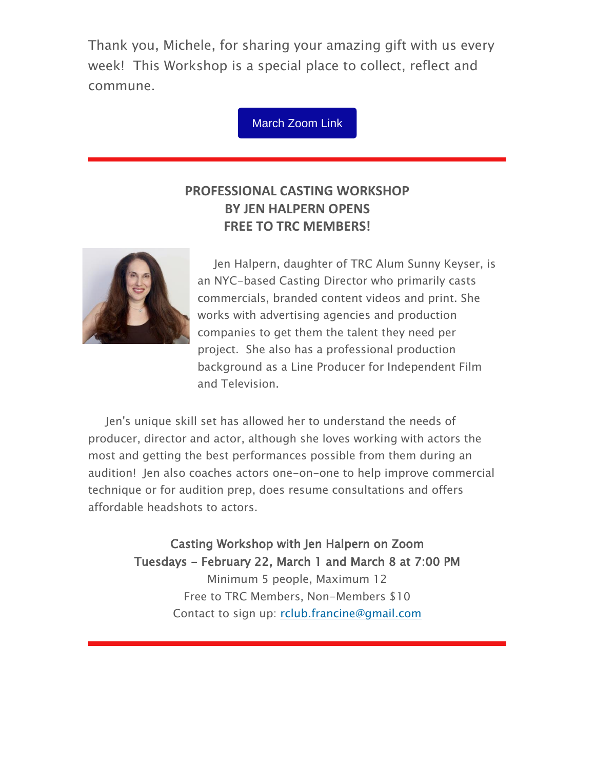Thank you, Michele, for sharing your amazing gift with us every week! This Workshop is a special place to collect, reflect and commune.

[March](https://us02web.zoom.us/j/88008656770?pwd=em0zMEszSHN1NVBEaXZ4Nm1Oc3IvUT09) Zoom Link

#### **PROFESSIONAL CASTING WORKSHOP BY JEN HALPERN OPENS FREE TO TRC MEMBERS!**



Jen Halpern, daughter of TRC Alum Sunny Keyser, is an NYC-based Casting Director who primarily casts commercials, branded content videos and print. She works with advertising agencies and production companies to get them the talent they need per project. She also has a professional production background as a Line Producer for Independent Film and Television.

Jen's unique skill set has allowed her to understand the needs of producer, director and actor, although she loves working with actors the most and getting the best performances possible from them during an audition! Jen also coaches actors one-on-one to help improve commercial technique or for audition prep, does resume consultations and offers affordable headshots to actors.

> Casting Workshop with Jen Halpern on Zoom Tuesdays - February 22, March 1 and March 8 at 7:00 PM Minimum 5 people, Maximum 12 Free to TRC Members, Non-Members \$10 Contact to sign up: [rclub.francine@gmail.com](mailto:rclub.francine@gmail.com)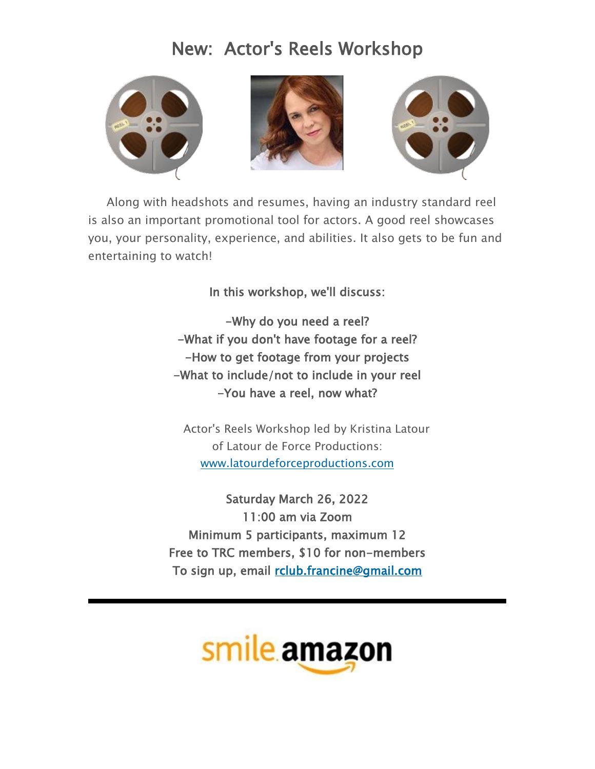## New: Actor's Reels Workshop







Along with headshots and resumes, having an industry standard reel is also an important promotional tool for actors. A good reel showcases you, your personality, experience, and abilities. It also gets to be fun and entertaining to watch!

In this workshop, we'll discuss:

-Why do you need a reel? -What if you don't have footage for a reel? -How to get footage from your projects -What to include/not to include in your reel -You have a reel, now what?

Actor's Reels Workshop led by Kristina Latour of Latour de Force Productions: [www.latourdeforceproductions.com](http://em.networkforgood.com/ls/click?upn=d9K6ASy0zzX96vUyeY2s4Nui38QjqF8Yvv7zABW3IIhOzIqC3HV-2BlrTokL5rWdoiwnH40eMZoStScB0AKXky2Q-3D-3Dwzse_mVgFLr7YN-2FKDVqGhILtkQY9fXF2OyRftV4uiTXV7NCFmx397hqVIaghoWdDojcNgZYXp1szAYOYDjcYK01Pd9nH234-2FA0IRYKOapI7Ds3zS8CjQA-2Bx6c-2BXZ3Cum2epxGt8rNDZUx4bERrgUKftnMToC16JWyeddgMS0Id-2B5QwEsSxmaJOp233-2FafCsEfH8jXYKsd0HLSxhihYHhoJoH1CLLSmzjDyB1mADu9fIeqwBvYQPQfQVQ8RY1-2BTblgGLIXroHyVb-2FwSv2jjLJNMt6tYEmX8b6ZD9ZXBcjU2muIERdR1wi7SuBMW1AMc-2BNM30yESuzGOveWHSorFH3kRC23NTrtBYppw4MV96U0dibQRxw-3D)

Saturday March 26, 2022 11:00 am via Zoom Minimum 5 participants, maximum 12 Free to TRC members, \$10 for non-members To sign up, email [rclub.francine@gmail.com](mailto:rclub.francine@gmail.com)

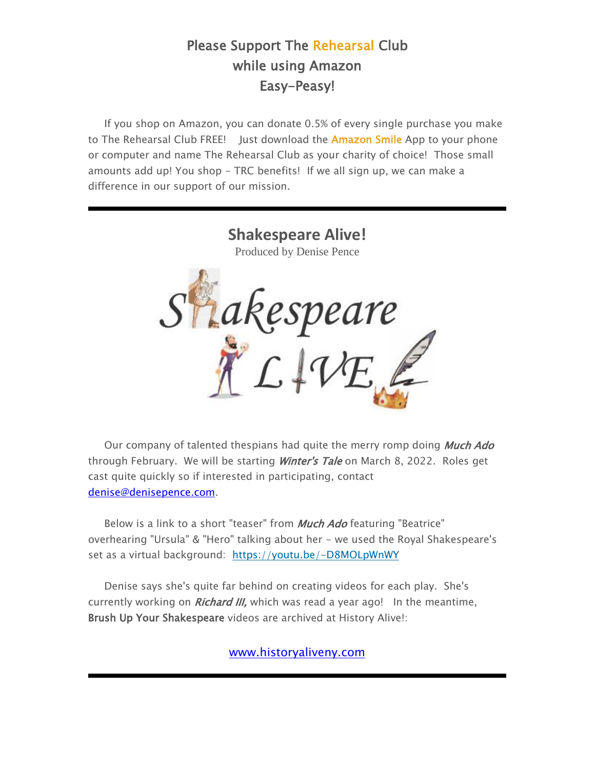#### Please Support The Rehearsal Club while using Amazon Easy-Peasy!

If you shop on Amazon, you can donate 0.5% of every single purchase you make to The Rehearsal Club FREE! Just download the **Amazon Smile** App to your phone or computer and name The Rehearsal Club as your charity of choice! Those small amounts add up! You shop - TRC benefits! If we all sign up, we can make a difference in our support of our mission.



Our company of talented thespians had quite the merry romp doing **Much Ado** through February. We will be starting *Winter's Tale* on March 8, 2022. Roles get cast quite quickly so if interested in participating, contact [denise@denisepence.com.](mailto:denise@denisepence.com)

Below is a link to a short "teaser" from **Much Ado** featuring "Beatrice" overhearing "Ursula" & "Hero" talking about her - we used the Royal Shakespeare's set as a virtual background: [https://youtu.be/-D8MOLpWnWY](http://em.networkforgood.com/ls/click?upn=VAGGw4zHikj3d-2F5242H3ZsWSj9aO2nz3LHnlcb6xZwIQkSkNQnG3Jyr6myoPANFyPXrJ_mVgFLr7YN-2FKDVqGhILtkQY9fXF2OyRftV4uiTXV7NCFmx397hqVIaghoWdDojcNgZYXp1szAYOYDjcYK01Pd9nH234-2FA0IRYKOapI7Ds3zS8CjQA-2Bx6c-2BXZ3Cum2epxGt8rNDZUx4bERrgUKftnMToC16JWyeddgMS0Id-2B5QwEtW-2FUYuQW9JjD4x28uXpFZnwmGtqo9xV-2F101CBQ9SDe9Oz6T5VaOotKFRXbT0Qee-2BXfb9RDFadYfFpL4JQE6xFBL3wJpTSyG98JSzB8JlvnDA4xUIKJGT5CY1pz1UytMd3clDBRw5JRiYOAkAuZhap6jxINasZwr0RyywkgMbY1sjIxdsIvvL-2Bb6dgSrfWb-2F10-3D)

Denise says she's quite far behind on creating videos for each play. She's currently working on *Richard III*, which was read a year ago! In the meantime, Brush Up Your Shakespeare videos are archived at History Alive!:

[www.historyaliveny.com](http://www.historyaliveny.com/)